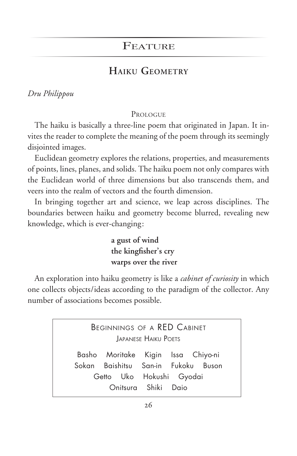## **FEATURE**

## **HAIKU GEOMETRY**

### *Dru Philippou*

#### **PROLOGUE**

The haiku is basically a three-line poem that originated in Japan. It invites the reader to complete the meaning of the poem through its seemingly disjointed images.

Euclidean geometry explores the relations, properties, and measurements of points, lines, planes, and solids. The haiku poem not only compares with the Euclidean world of three dimensions but also transcends them, and veers into the realm of vectors and the fourth dimension.

In bringing together art and science, we leap across disciplines. The boundaries between haiku and geometry become blurred, revealing new knowledge, which is ever-changing :

> **a gust of wind the kingfisher's cry warps over the river**

An exploration into haiku geometry is like a *cabinet of curiosity* in which one collects objects/ideas according to the paradigm of the collector. Any number of associations becomes possible.

> BEGINNINGS OF A RED CABINET JAPANESE HAIKU POETS Basho Moritake Kigin Issa Chiyo-ni Sokan Baishitsu San-in Fukoku Buson Getto Uko Hokushi Gyodai Onitsura Shiki Daio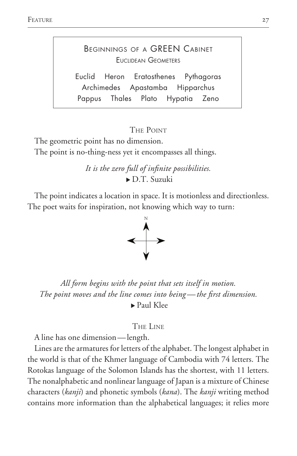# BEGINNINGS OF A GREEN CABINET EUCLIDEAN GEOMETERS

Euclid Heron Eratosthenes Pythagoras Archimedes Apastamba Hipparchus Pappus Thales Plato Hypatia Zeno

#### THE POINT

The geometric point has no dimension. The point is no-thing-ness yet it encompasses all things.

> *It is the zero full of infinite possibilities.*  $\triangleright$  D.T. Suzuki

The point indicates a location in space. It is motionless and directionless. The poet waits for inspiration, not knowing which way to turn:



*All form begins with the point that sets itself in motion. The point moves and the line comes into being — the first dimension.*   $\blacktriangleright$  Paul Klee

#### THE LINE

A line has one dimension — length.

Lines are the armatures for letters of the alphabet. The longest alphabet in the world is that of the Khmer language of Cambodia with 74 letters. The Rotokas language of the Solomon Islands has the shortest, with 11 letters. The nonalphabetic and nonlinear language of Japan is a mixture of Chinese characters (*kanji*) and phonetic symbols (*kana*). The *kanji* writing method contains more information than the alphabetical languages; it relies more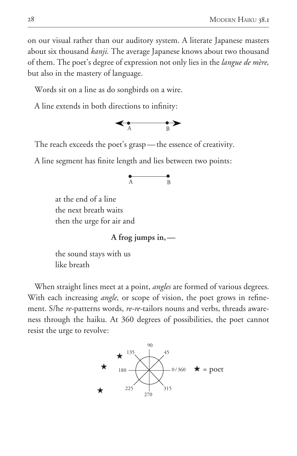on our visual rather than our auditory system. A literate Japanese masters about six thousand *kanji.* The average Japanese knows about two thousand of them. The poet's degree of expression not only lies in the *langue de mère,* but also in the mastery of language.

Words sit on a line as do songbirds on a wire.

A line extends in both directions to infinity :



The reach exceeds the poet's grasp-the essence of creativity.

A line segment has finite length and lies between two points:<br> $A \longrightarrow B$ 



 at the end of a line the next breath waits then the urge for air and

**A frog jumps in, —**

 the sound stays with us like breath

When straight lines meet at a point, *angles* are formed of various degrees. With each increasing *angle,* or scope of vision, the poet grows in refinement. S/he *re-*patterns words, *re-re-*tailors nouns and verbs, threads awareness through the haiku. At 360 degrees of possibilities, the poet cannot resist the urge to revolve:

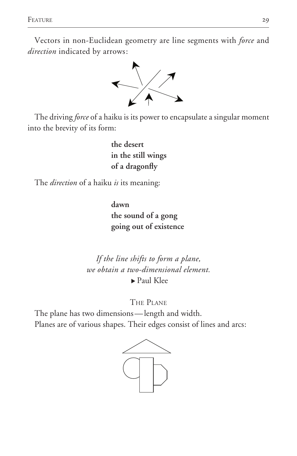Feature 29

Vectors in non-Euclidean geometry are line segments with *force* and *direction* indicated by arrows :



The driving *force* of a haiku is its power to encapsulate a singular moment into the brevity of its form:

> **the desert in the still wings of a dragonfly**

The *direction* of a haiku *is* its meaning:

**dawn the sound of a gong going out of existence** 

*If the line shifts to form a plane, we obtain a two-dimensional element.*   $\blacktriangleright$  Paul Klee

THE PLANE

The plane has two dimensions — length and width. Planes are of various shapes. Their edges consist of lines and arcs :

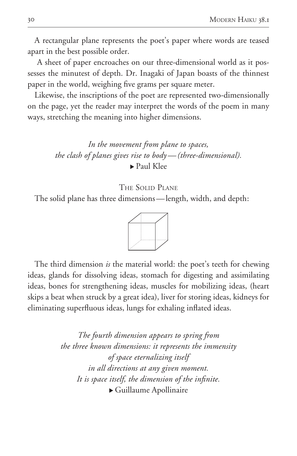A rectangular plane represents the poet's paper where words are teased apart in the best possible order.

 A sheet of paper encroaches on our three-dimensional world as it possesses the minutest of depth. Dr. Inagaki of Japan boasts of the thinnest paper in the world, weighing five grams per square meter.

Likewise, the inscriptions of the poet are represented two-dimensionally on the page, yet the reader may interpret the words of the poem in many ways, stretching the meaning into higher dimensions.

> *In the movement from plane to spaces, the clash of planes gives rise to body — (three-dimensional).*  $\blacktriangleright$  Paul Klee

> > THE SOLID PLANE

The solid plane has three dimensions — length, width, and depth:



The third dimension *is* the material world: the poet's teeth for chewing ideas, glands for dissolving ideas, stomach for digesting and assimilating ideas, bones for strengthening ideas, muscles for mobilizing ideas, (heart skips a beat when struck by a great idea), liver for storing ideas, kidneys for eliminating superfluous ideas, lungs for exhaling inflated ideas.

> *The fourth dimension appears to spring from the three known dimensions: it represents the immensity of space eternalizing itself in all directions at any given moment. It is space itself, the dimension of the infinite.*  $\blacktriangleright$  Guillaume Apollinaire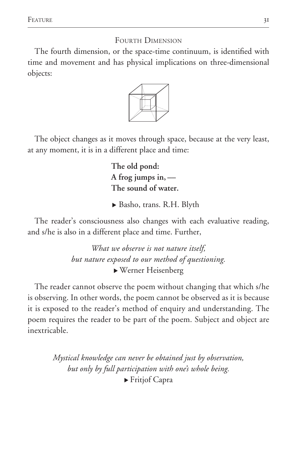FOURTH DIMENSION

The fourth dimension, or the space-time continuum, is identified with time and movement and has physical implications on three-dimensional objects:



The object changes as it moves through space, because at the very least, at any moment, it is in a different place and time:

> **The old pond: A frog jumps in, –– The sound of water.**

▶ Basho, trans. R.H. Blyth

The reader's consciousness also changes with each evaluative reading, and s/he is also in a different place and time. Further,

> *What we observe is not nature itself, but nature exposed to our method of questioning.*  <sup>u</sup>Werner Heisenberg

The reader cannot observe the poem without changing that which s/he is observing. In other words, the poem cannot be observed as it is because it is exposed to the reader's method of enquiry and understanding. The poem requires the reader to be part of the poem. Subject and object are inextricable.

> *Mystical knowledge can never be obtained just by observation, but only by full participation with one's whole being.*   $\blacktriangleright$  Fritjof Capra